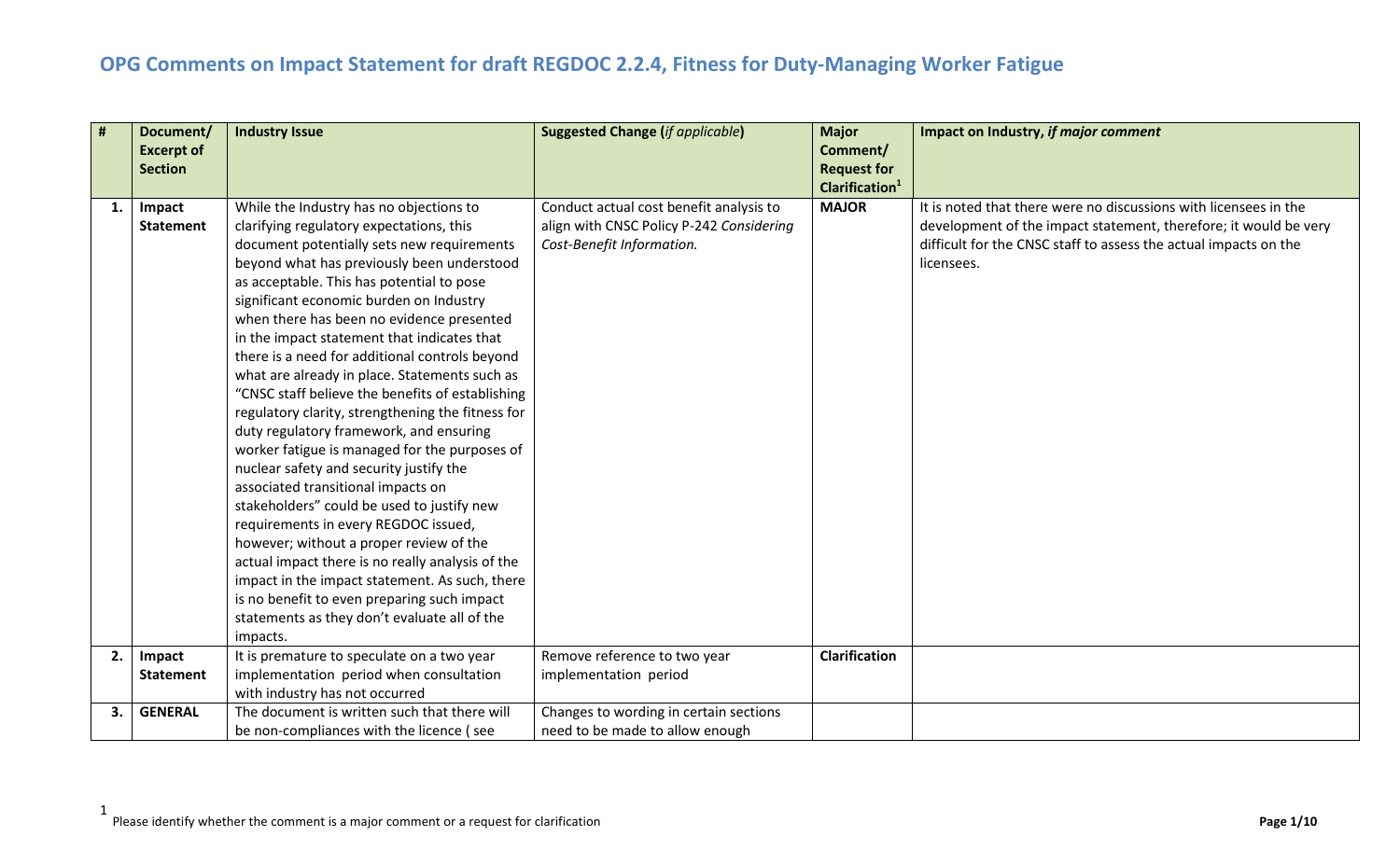| #  | Document/<br><b>Excerpt of</b> | <b>Industry Issue</b>                                                                    | <b>Suggested Change (if applicable)</b>  | <b>Major</b><br>Comment/                         | Impact on Industry, if major comment                             |
|----|--------------------------------|------------------------------------------------------------------------------------------|------------------------------------------|--------------------------------------------------|------------------------------------------------------------------|
|    | <b>Section</b>                 |                                                                                          |                                          | <b>Request for</b><br>Clarification <sup>1</sup> |                                                                  |
| 1. | Impact                         | While the Industry has no objections to                                                  | Conduct actual cost benefit analysis to  | <b>MAJOR</b>                                     | It is noted that there were no discussions with licensees in the |
|    | <b>Statement</b>               | clarifying regulatory expectations, this                                                 | align with CNSC Policy P-242 Considering |                                                  | development of the impact statement, therefore; it would be very |
|    |                                | document potentially sets new requirements                                               | Cost-Benefit Information.                |                                                  | difficult for the CNSC staff to assess the actual impacts on the |
|    |                                | beyond what has previously been understood                                               |                                          |                                                  | licensees.                                                       |
|    |                                | as acceptable. This has potential to pose                                                |                                          |                                                  |                                                                  |
|    |                                | significant economic burden on Industry                                                  |                                          |                                                  |                                                                  |
|    |                                | when there has been no evidence presented<br>in the impact statement that indicates that |                                          |                                                  |                                                                  |
|    |                                | there is a need for additional controls beyond                                           |                                          |                                                  |                                                                  |
|    |                                | what are already in place. Statements such as                                            |                                          |                                                  |                                                                  |
|    |                                | "CNSC staff believe the benefits of establishing                                         |                                          |                                                  |                                                                  |
|    |                                | regulatory clarity, strengthening the fitness for                                        |                                          |                                                  |                                                                  |
|    |                                | duty regulatory framework, and ensuring                                                  |                                          |                                                  |                                                                  |
|    |                                | worker fatigue is managed for the purposes of                                            |                                          |                                                  |                                                                  |
|    |                                | nuclear safety and security justify the                                                  |                                          |                                                  |                                                                  |
|    |                                | associated transitional impacts on                                                       |                                          |                                                  |                                                                  |
|    |                                | stakeholders" could be used to justify new                                               |                                          |                                                  |                                                                  |
|    |                                | requirements in every REGDOC issued,                                                     |                                          |                                                  |                                                                  |
|    |                                | however; without a proper review of the                                                  |                                          |                                                  |                                                                  |
|    |                                | actual impact there is no really analysis of the                                         |                                          |                                                  |                                                                  |
|    |                                | impact in the impact statement. As such, there                                           |                                          |                                                  |                                                                  |
|    |                                | is no benefit to even preparing such impact                                              |                                          |                                                  |                                                                  |
|    |                                | statements as they don't evaluate all of the                                             |                                          |                                                  |                                                                  |
|    |                                | impacts.                                                                                 |                                          |                                                  |                                                                  |
| 2. | Impact                         | It is premature to speculate on a two year                                               | Remove reference to two year             | <b>Clarification</b>                             |                                                                  |
|    | <b>Statement</b>               | implementation period when consultation                                                  | implementation period                    |                                                  |                                                                  |
|    |                                | with industry has not occurred                                                           |                                          |                                                  |                                                                  |
| 3. | <b>GENERAL</b>                 | The document is written such that there will                                             | Changes to wording in certain sections   |                                                  |                                                                  |
|    |                                | be non-compliances with the licence (see                                                 | need to be made to allow enough          |                                                  |                                                                  |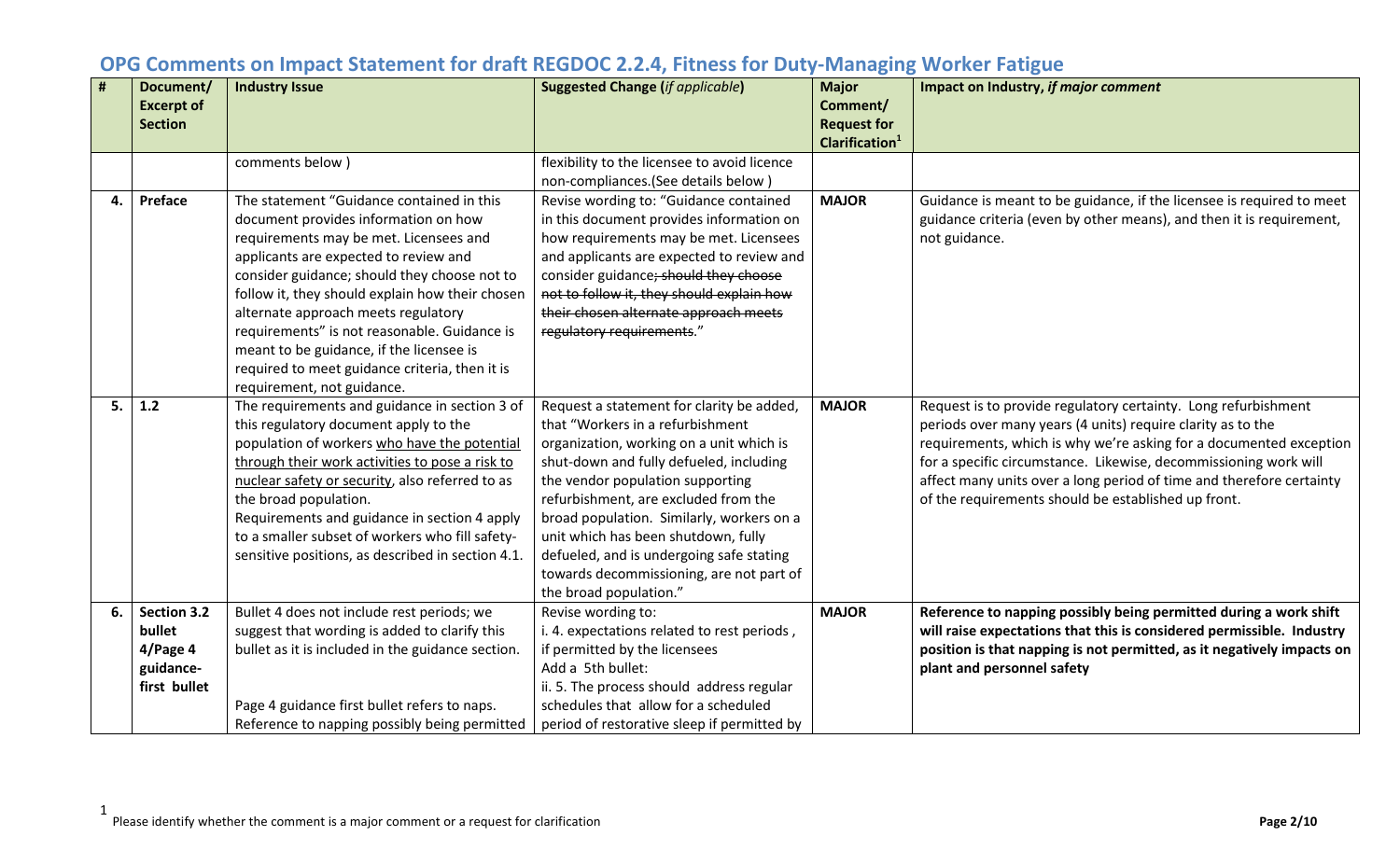|    | Document/         | <b>Industry Issue</b>                             | <b>Suggested Change (if applicable)</b>      | <b>Major</b>                                     | Impact on Industry, if major comment                                   |
|----|-------------------|---------------------------------------------------|----------------------------------------------|--------------------------------------------------|------------------------------------------------------------------------|
|    | <b>Excerpt of</b> |                                                   |                                              | Comment/                                         |                                                                        |
|    | <b>Section</b>    |                                                   |                                              | <b>Request for</b><br>Clarification <sup>1</sup> |                                                                        |
|    |                   | comments below)                                   | flexibility to the licensee to avoid licence |                                                  |                                                                        |
|    |                   |                                                   | non-compliances.(See details below)          |                                                  |                                                                        |
| 4. | Preface           | The statement "Guidance contained in this         |                                              | <b>MAJOR</b>                                     |                                                                        |
|    |                   |                                                   | Revise wording to: "Guidance contained       |                                                  | Guidance is meant to be guidance, if the licensee is required to meet  |
|    |                   | document provides information on how              | in this document provides information on     |                                                  | guidance criteria (even by other means), and then it is requirement,   |
|    |                   | requirements may be met. Licensees and            | how requirements may be met. Licensees       |                                                  | not guidance.                                                          |
|    |                   | applicants are expected to review and             | and applicants are expected to review and    |                                                  |                                                                        |
|    |                   | consider guidance; should they choose not to      | consider guidance; should they choose        |                                                  |                                                                        |
|    |                   | follow it, they should explain how their chosen   | not to follow it, they should explain how    |                                                  |                                                                        |
|    |                   | alternate approach meets regulatory               | their chosen alternate approach meets        |                                                  |                                                                        |
|    |                   | requirements" is not reasonable. Guidance is      | regulatory requirements."                    |                                                  |                                                                        |
|    |                   | meant to be guidance, if the licensee is          |                                              |                                                  |                                                                        |
|    |                   | required to meet guidance criteria, then it is    |                                              |                                                  |                                                                        |
|    |                   | requirement, not guidance.                        |                                              |                                                  |                                                                        |
| 5. | 1.2               | The requirements and guidance in section 3 of     | Request a statement for clarity be added,    | <b>MAJOR</b>                                     | Request is to provide regulatory certainty. Long refurbishment         |
|    |                   | this regulatory document apply to the             | that "Workers in a refurbishment             |                                                  | periods over many years (4 units) require clarity as to the            |
|    |                   | population of workers who have the potential      | organization, working on a unit which is     |                                                  | requirements, which is why we're asking for a documented exception     |
|    |                   | through their work activities to pose a risk to   | shut-down and fully defueled, including      |                                                  | for a specific circumstance. Likewise, decommissioning work will       |
|    |                   | nuclear safety or security, also referred to as   | the vendor population supporting             |                                                  | affect many units over a long period of time and therefore certainty   |
|    |                   | the broad population.                             | refurbishment, are excluded from the         |                                                  | of the requirements should be established up front.                    |
|    |                   | Requirements and guidance in section 4 apply      | broad population. Similarly, workers on a    |                                                  |                                                                        |
|    |                   | to a smaller subset of workers who fill safety-   | unit which has been shutdown, fully          |                                                  |                                                                        |
|    |                   | sensitive positions, as described in section 4.1. | defueled, and is undergoing safe stating     |                                                  |                                                                        |
|    |                   |                                                   | towards decommissioning, are not part of     |                                                  |                                                                        |
|    |                   |                                                   | the broad population."                       |                                                  |                                                                        |
| 6. | Section 3.2       | Bullet 4 does not include rest periods; we        | Revise wording to:                           | <b>MAJOR</b>                                     | Reference to napping possibly being permitted during a work shift      |
|    | bullet            | suggest that wording is added to clarify this     | i. 4. expectations related to rest periods,  |                                                  | will raise expectations that this is considered permissible. Industry  |
|    | 4/Page 4          | bullet as it is included in the guidance section. | if permitted by the licensees                |                                                  | position is that napping is not permitted, as it negatively impacts on |
|    | guidance-         |                                                   | Add a 5th bullet:                            |                                                  | plant and personnel safety                                             |
|    | first bullet      |                                                   | ii. 5. The process should address regular    |                                                  |                                                                        |
|    |                   | Page 4 guidance first bullet refers to naps.      | schedules that allow for a scheduled         |                                                  |                                                                        |
|    |                   | Reference to napping possibly being permitted     | period of restorative sleep if permitted by  |                                                  |                                                                        |

1 Please identify whether the comment is a major comment or a request for clarification **Page 2/10**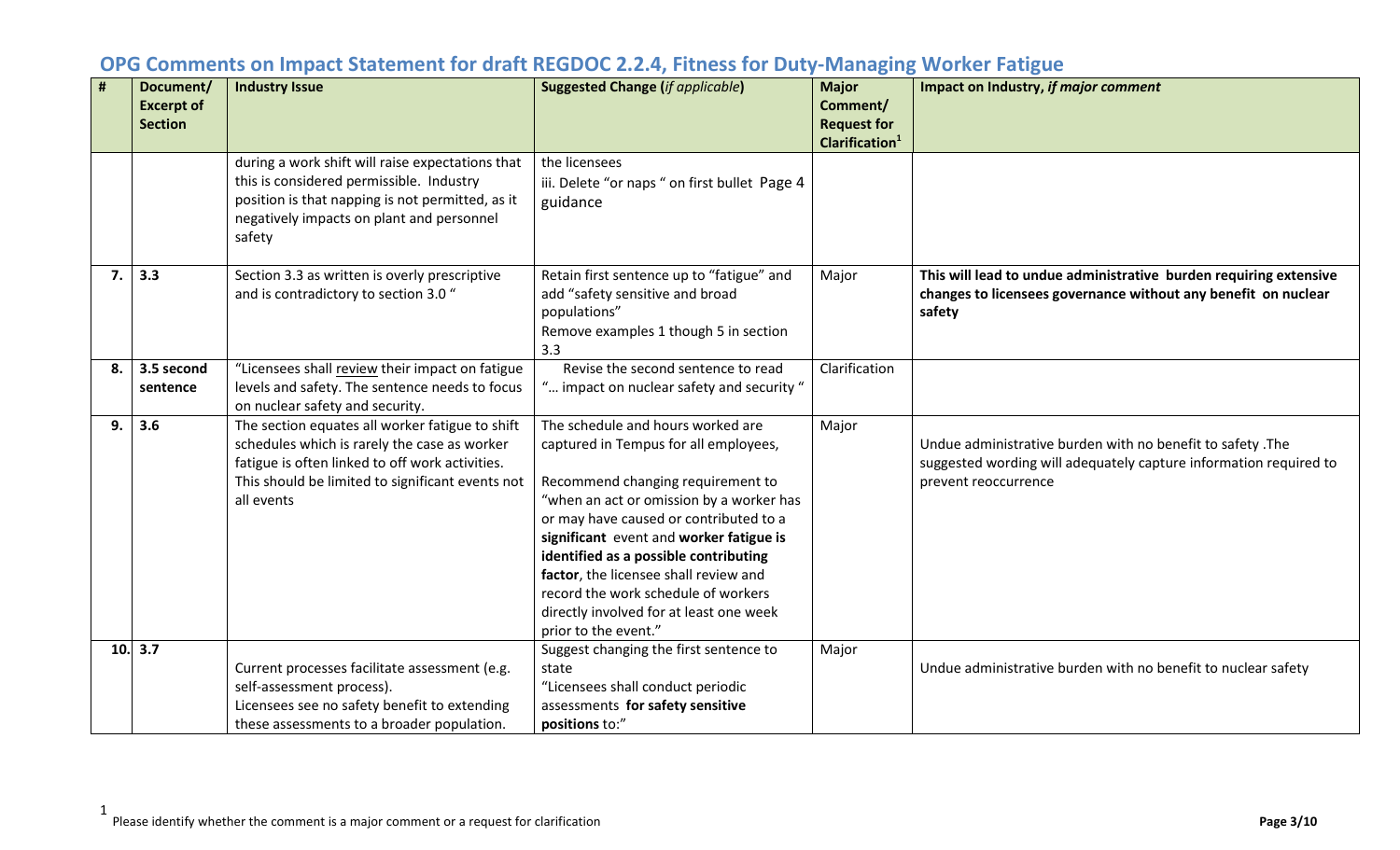| #  | Document/<br><b>Excerpt of</b><br><b>Section</b> | <b>Industry Issue</b>                                                                                                                                                                                                | <b>Suggested Change (if applicable)</b>                                                                                                                                                                                                                                                                                                                                                                                                      | <b>Major</b><br>Comment/<br><b>Request for</b> | Impact on Industry, if major comment                                                                                                                    |
|----|--------------------------------------------------|----------------------------------------------------------------------------------------------------------------------------------------------------------------------------------------------------------------------|----------------------------------------------------------------------------------------------------------------------------------------------------------------------------------------------------------------------------------------------------------------------------------------------------------------------------------------------------------------------------------------------------------------------------------------------|------------------------------------------------|---------------------------------------------------------------------------------------------------------------------------------------------------------|
|    |                                                  |                                                                                                                                                                                                                      |                                                                                                                                                                                                                                                                                                                                                                                                                                              | Clarification <sup>1</sup>                     |                                                                                                                                                         |
|    |                                                  | during a work shift will raise expectations that<br>this is considered permissible. Industry<br>position is that napping is not permitted, as it<br>negatively impacts on plant and personnel<br>safety              | the licensees<br>iii. Delete "or naps " on first bullet Page 4<br>guidance                                                                                                                                                                                                                                                                                                                                                                   |                                                |                                                                                                                                                         |
| 7. | 3.3                                              | Section 3.3 as written is overly prescriptive<br>and is contradictory to section 3.0 "                                                                                                                               | Retain first sentence up to "fatigue" and<br>add "safety sensitive and broad<br>populations"<br>Remove examples 1 though 5 in section<br>3.3                                                                                                                                                                                                                                                                                                 | Major                                          | This will lead to undue administrative burden requiring extensive<br>changes to licensees governance without any benefit on nuclear<br>safety           |
| 8. | 3.5 second<br>sentence                           | "Licensees shall review their impact on fatigue<br>levels and safety. The sentence needs to focus<br>on nuclear safety and security.                                                                                 | Revise the second sentence to read<br>" impact on nuclear safety and security "                                                                                                                                                                                                                                                                                                                                                              | Clarification                                  |                                                                                                                                                         |
| 9. | 3.6                                              | The section equates all worker fatigue to shift<br>schedules which is rarely the case as worker<br>fatigue is often linked to off work activities.<br>This should be limited to significant events not<br>all events | The schedule and hours worked are<br>captured in Tempus for all employees,<br>Recommend changing requirement to<br>"when an act or omission by a worker has<br>or may have caused or contributed to a<br>significant event and worker fatigue is<br>identified as a possible contributing<br>factor, the licensee shall review and<br>record the work schedule of workers<br>directly involved for at least one week<br>prior to the event." | Major                                          | Undue administrative burden with no benefit to safety .The<br>suggested wording will adequately capture information required to<br>prevent reoccurrence |
|    | 10.3.7                                           | Current processes facilitate assessment (e.g.<br>self-assessment process).<br>Licensees see no safety benefit to extending<br>these assessments to a broader population.                                             | Suggest changing the first sentence to<br>state<br>"Licensees shall conduct periodic<br>assessments for safety sensitive<br>positions to:"                                                                                                                                                                                                                                                                                                   | Major                                          | Undue administrative burden with no benefit to nuclear safety                                                                                           |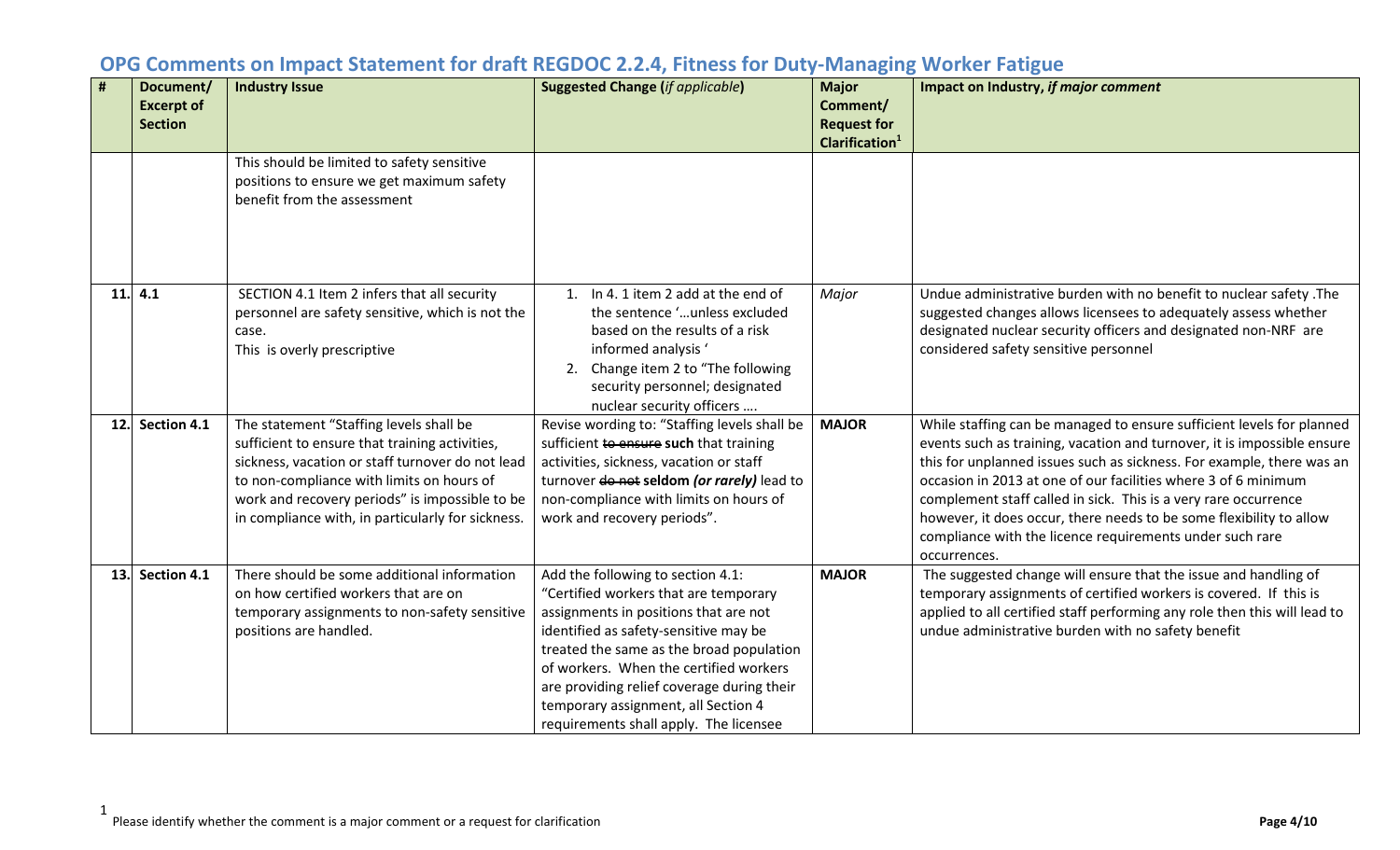| #   | Document/         | <b>Industry Issue</b>                             | <b>Suggested Change (if applicable)</b>                             | <b>Major</b>                                     | Impact on Industry, if major comment                                                                                               |
|-----|-------------------|---------------------------------------------------|---------------------------------------------------------------------|--------------------------------------------------|------------------------------------------------------------------------------------------------------------------------------------|
|     | <b>Excerpt of</b> |                                                   |                                                                     | Comment/                                         |                                                                                                                                    |
|     | <b>Section</b>    |                                                   |                                                                     | <b>Request for</b><br>Clarification <sup>1</sup> |                                                                                                                                    |
|     |                   | This should be limited to safety sensitive        |                                                                     |                                                  |                                                                                                                                    |
|     |                   | positions to ensure we get maximum safety         |                                                                     |                                                  |                                                                                                                                    |
|     |                   | benefit from the assessment                       |                                                                     |                                                  |                                                                                                                                    |
|     |                   |                                                   |                                                                     |                                                  |                                                                                                                                    |
|     |                   |                                                   |                                                                     |                                                  |                                                                                                                                    |
|     |                   |                                                   |                                                                     |                                                  |                                                                                                                                    |
|     |                   |                                                   |                                                                     |                                                  |                                                                                                                                    |
| 11. | 4.1               | SECTION 4.1 Item 2 infers that all security       | 1. In 4.1 item 2 add at the end of<br>the sentence 'unless excluded | Major                                            | Undue administrative burden with no benefit to nuclear safety .The                                                                 |
|     |                   | personnel are safety sensitive, which is not the  | based on the results of a risk                                      |                                                  | suggested changes allows licensees to adequately assess whether<br>designated nuclear security officers and designated non-NRF are |
|     |                   | case.<br>This is overly prescriptive              | informed analysis '                                                 |                                                  | considered safety sensitive personnel                                                                                              |
|     |                   |                                                   | Change item 2 to "The following<br>2.                               |                                                  |                                                                                                                                    |
|     |                   |                                                   | security personnel; designated                                      |                                                  |                                                                                                                                    |
|     |                   |                                                   | nuclear security officers                                           |                                                  |                                                                                                                                    |
| 12. | Section 4.1       | The statement "Staffing levels shall be           | Revise wording to: "Staffing levels shall be                        | <b>MAJOR</b>                                     | While staffing can be managed to ensure sufficient levels for planned                                                              |
|     |                   | sufficient to ensure that training activities,    | sufficient to ensure such that training                             |                                                  | events such as training, vacation and turnover, it is impossible ensure                                                            |
|     |                   | sickness, vacation or staff turnover do not lead  | activities, sickness, vacation or staff                             |                                                  | this for unplanned issues such as sickness. For example, there was an                                                              |
|     |                   | to non-compliance with limits on hours of         | turnover do not seldom (or rarely) lead to                          |                                                  | occasion in 2013 at one of our facilities where 3 of 6 minimum                                                                     |
|     |                   | work and recovery periods" is impossible to be    | non-compliance with limits on hours of                              |                                                  | complement staff called in sick. This is a very rare occurrence                                                                    |
|     |                   | in compliance with, in particularly for sickness. | work and recovery periods".                                         |                                                  | however, it does occur, there needs to be some flexibility to allow                                                                |
|     |                   |                                                   |                                                                     |                                                  | compliance with the licence requirements under such rare                                                                           |
| 13. | Section 4.1       | There should be some additional information       | Add the following to section 4.1:                                   | <b>MAJOR</b>                                     | occurrences.<br>The suggested change will ensure that the issue and handling of                                                    |
|     |                   | on how certified workers that are on              | "Certified workers that are temporary                               |                                                  | temporary assignments of certified workers is covered. If this is                                                                  |
|     |                   | temporary assignments to non-safety sensitive     | assignments in positions that are not                               |                                                  | applied to all certified staff performing any role then this will lead to                                                          |
|     |                   | positions are handled.                            | identified as safety-sensitive may be                               |                                                  | undue administrative burden with no safety benefit                                                                                 |
|     |                   |                                                   | treated the same as the broad population                            |                                                  |                                                                                                                                    |
|     |                   |                                                   | of workers. When the certified workers                              |                                                  |                                                                                                                                    |
|     |                   |                                                   | are providing relief coverage during their                          |                                                  |                                                                                                                                    |
|     |                   |                                                   | temporary assignment, all Section 4                                 |                                                  |                                                                                                                                    |
|     |                   |                                                   | requirements shall apply. The licensee                              |                                                  |                                                                                                                                    |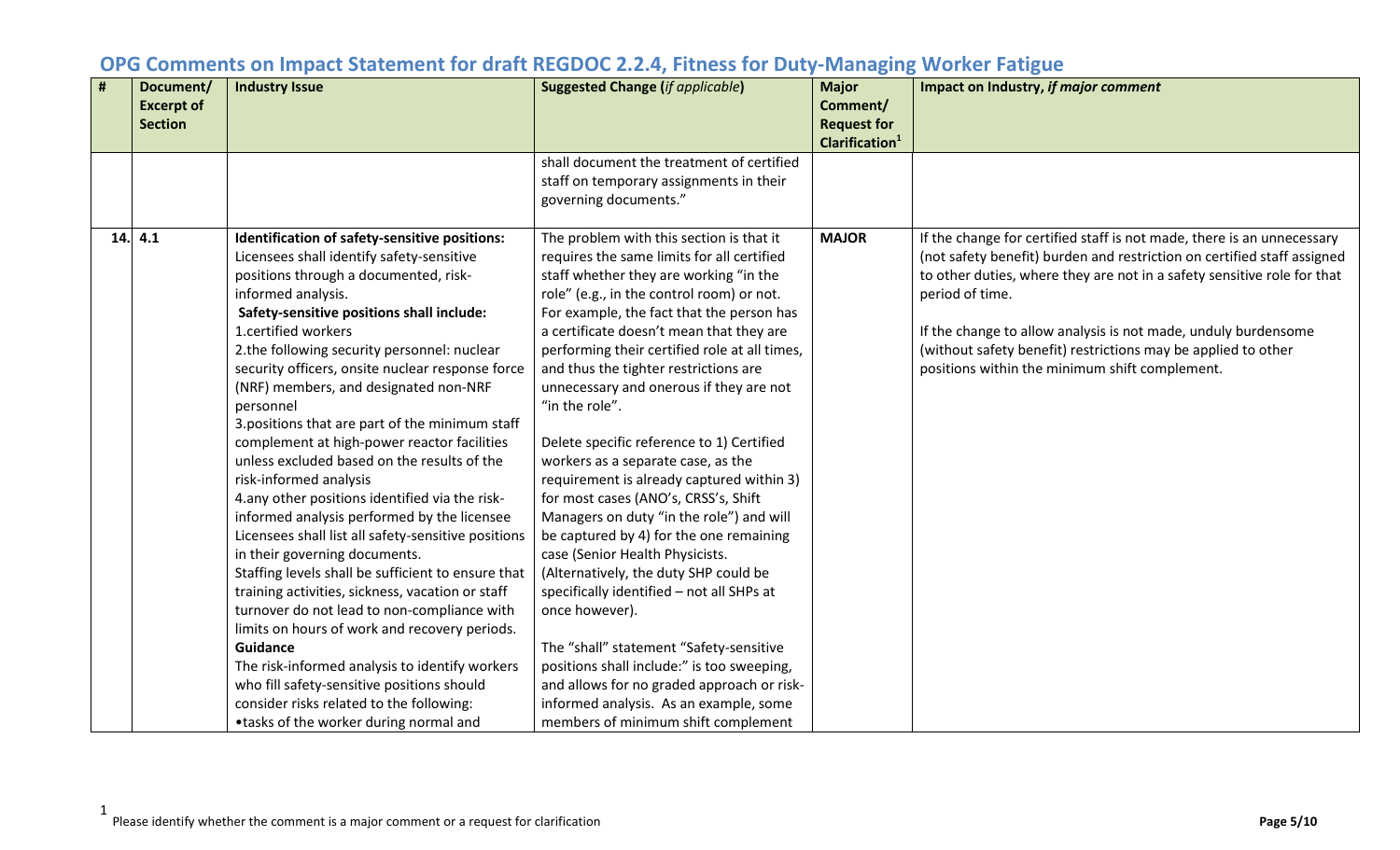| # | Document/<br><b>Excerpt of</b><br><b>Section</b> | <b>Industry Issue</b>                                                                                                                                                                                                                                                                                                                                                                                                                                                                                                                                                                                                                                                                                                                                                                                                                                                                                                                                                                                                                                                                                                                                                  | <b>Suggested Change (if applicable)</b>                                                                                                                                                                                                                                                                                                                                                                                                                                                                                                                                                                                                                                                                                                                                                                                                                                                                                                                                                                                                                         | <b>Major</b><br>Comment/<br><b>Request for</b><br>Clarification <sup>1</sup> | Impact on Industry, if major comment                                                                                                                                                                                                                                                                                                                                                                                                 |
|---|--------------------------------------------------|------------------------------------------------------------------------------------------------------------------------------------------------------------------------------------------------------------------------------------------------------------------------------------------------------------------------------------------------------------------------------------------------------------------------------------------------------------------------------------------------------------------------------------------------------------------------------------------------------------------------------------------------------------------------------------------------------------------------------------------------------------------------------------------------------------------------------------------------------------------------------------------------------------------------------------------------------------------------------------------------------------------------------------------------------------------------------------------------------------------------------------------------------------------------|-----------------------------------------------------------------------------------------------------------------------------------------------------------------------------------------------------------------------------------------------------------------------------------------------------------------------------------------------------------------------------------------------------------------------------------------------------------------------------------------------------------------------------------------------------------------------------------------------------------------------------------------------------------------------------------------------------------------------------------------------------------------------------------------------------------------------------------------------------------------------------------------------------------------------------------------------------------------------------------------------------------------------------------------------------------------|------------------------------------------------------------------------------|--------------------------------------------------------------------------------------------------------------------------------------------------------------------------------------------------------------------------------------------------------------------------------------------------------------------------------------------------------------------------------------------------------------------------------------|
|   |                                                  |                                                                                                                                                                                                                                                                                                                                                                                                                                                                                                                                                                                                                                                                                                                                                                                                                                                                                                                                                                                                                                                                                                                                                                        | shall document the treatment of certified<br>staff on temporary assignments in their<br>governing documents."                                                                                                                                                                                                                                                                                                                                                                                                                                                                                                                                                                                                                                                                                                                                                                                                                                                                                                                                                   |                                                                              |                                                                                                                                                                                                                                                                                                                                                                                                                                      |
|   | 14.4.1                                           | Identification of safety-sensitive positions:<br>Licensees shall identify safety-sensitive<br>positions through a documented, risk-<br>informed analysis.<br>Safety-sensitive positions shall include:<br>1.certified workers<br>2.the following security personnel: nuclear<br>security officers, onsite nuclear response force<br>(NRF) members, and designated non-NRF<br>personnel<br>3. positions that are part of the minimum staff<br>complement at high-power reactor facilities<br>unless excluded based on the results of the<br>risk-informed analysis<br>4.any other positions identified via the risk-<br>informed analysis performed by the licensee<br>Licensees shall list all safety-sensitive positions<br>in their governing documents.<br>Staffing levels shall be sufficient to ensure that<br>training activities, sickness, vacation or staff<br>turnover do not lead to non-compliance with<br>limits on hours of work and recovery periods.<br>Guidance<br>The risk-informed analysis to identify workers<br>who fill safety-sensitive positions should<br>consider risks related to the following:<br>•tasks of the worker during normal and | The problem with this section is that it<br>requires the same limits for all certified<br>staff whether they are working "in the<br>role" (e.g., in the control room) or not.<br>For example, the fact that the person has<br>a certificate doesn't mean that they are<br>performing their certified role at all times,<br>and thus the tighter restrictions are<br>unnecessary and onerous if they are not<br>"in the role".<br>Delete specific reference to 1) Certified<br>workers as a separate case, as the<br>requirement is already captured within 3)<br>for most cases (ANO's, CRSS's, Shift<br>Managers on duty "in the role") and will<br>be captured by 4) for the one remaining<br>case (Senior Health Physicists.<br>(Alternatively, the duty SHP could be<br>specifically identified - not all SHPs at<br>once however).<br>The "shall" statement "Safety-sensitive<br>positions shall include:" is too sweeping,<br>and allows for no graded approach or risk-<br>informed analysis. As an example, some<br>members of minimum shift complement | <b>MAJOR</b>                                                                 | If the change for certified staff is not made, there is an unnecessary<br>(not safety benefit) burden and restriction on certified staff assigned<br>to other duties, where they are not in a safety sensitive role for that<br>period of time.<br>If the change to allow analysis is not made, unduly burdensome<br>(without safety benefit) restrictions may be applied to other<br>positions within the minimum shift complement. |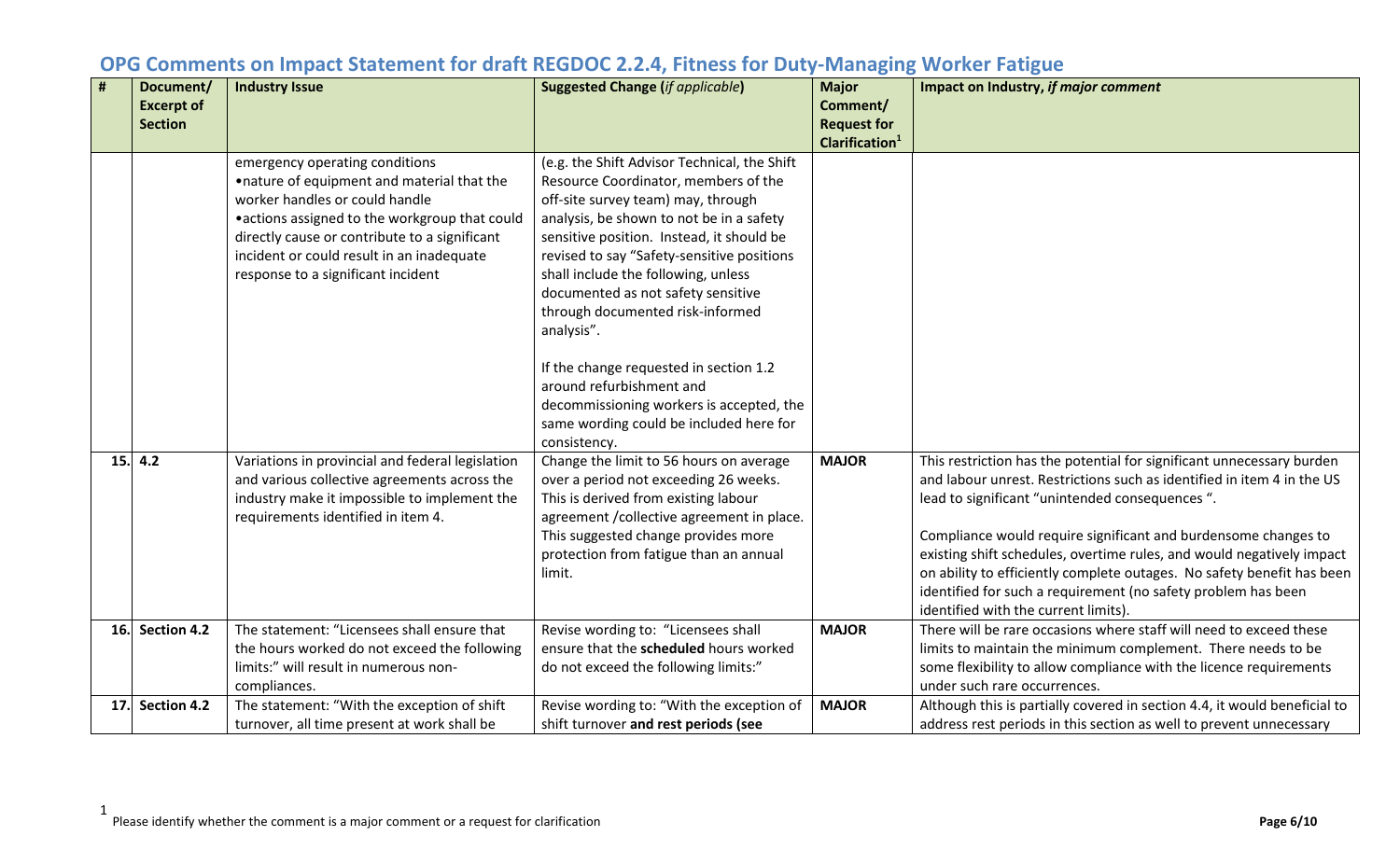|     | Document/         | <b>Industry Issue</b>                                                                                                                                                                                                                                                                                | <b>Suggested Change (if applicable)</b>                                                                                                                                                                                                                                                                                                                                                                                                                                | <b>Major</b>                                     | Impact on Industry, if major comment                                                                                                                                                                                                                                                                                                                                                                                                                                                                                            |
|-----|-------------------|------------------------------------------------------------------------------------------------------------------------------------------------------------------------------------------------------------------------------------------------------------------------------------------------------|------------------------------------------------------------------------------------------------------------------------------------------------------------------------------------------------------------------------------------------------------------------------------------------------------------------------------------------------------------------------------------------------------------------------------------------------------------------------|--------------------------------------------------|---------------------------------------------------------------------------------------------------------------------------------------------------------------------------------------------------------------------------------------------------------------------------------------------------------------------------------------------------------------------------------------------------------------------------------------------------------------------------------------------------------------------------------|
|     | <b>Excerpt of</b> |                                                                                                                                                                                                                                                                                                      |                                                                                                                                                                                                                                                                                                                                                                                                                                                                        | Comment/                                         |                                                                                                                                                                                                                                                                                                                                                                                                                                                                                                                                 |
|     | <b>Section</b>    |                                                                                                                                                                                                                                                                                                      |                                                                                                                                                                                                                                                                                                                                                                                                                                                                        | <b>Request for</b><br>Clarification <sup>1</sup> |                                                                                                                                                                                                                                                                                                                                                                                                                                                                                                                                 |
|     |                   | emergency operating conditions<br>.nature of equipment and material that the<br>worker handles or could handle<br>• actions assigned to the workgroup that could<br>directly cause or contribute to a significant<br>incident or could result in an inadequate<br>response to a significant incident | (e.g. the Shift Advisor Technical, the Shift<br>Resource Coordinator, members of the<br>off-site survey team) may, through<br>analysis, be shown to not be in a safety<br>sensitive position. Instead, it should be<br>revised to say "Safety-sensitive positions<br>shall include the following, unless<br>documented as not safety sensitive<br>through documented risk-informed<br>analysis".<br>If the change requested in section 1.2<br>around refurbishment and |                                                  |                                                                                                                                                                                                                                                                                                                                                                                                                                                                                                                                 |
|     |                   |                                                                                                                                                                                                                                                                                                      | decommissioning workers is accepted, the<br>same wording could be included here for<br>consistency.                                                                                                                                                                                                                                                                                                                                                                    |                                                  |                                                                                                                                                                                                                                                                                                                                                                                                                                                                                                                                 |
|     | 15.   4.2         | Variations in provincial and federal legislation<br>and various collective agreements across the<br>industry make it impossible to implement the<br>requirements identified in item 4.                                                                                                               | Change the limit to 56 hours on average<br>over a period not exceeding 26 weeks.<br>This is derived from existing labour<br>agreement / collective agreement in place.<br>This suggested change provides more<br>protection from fatigue than an annual<br>limit.                                                                                                                                                                                                      | <b>MAJOR</b>                                     | This restriction has the potential for significant unnecessary burden<br>and labour unrest. Restrictions such as identified in item 4 in the US<br>lead to significant "unintended consequences".<br>Compliance would require significant and burdensome changes to<br>existing shift schedules, overtime rules, and would negatively impact<br>on ability to efficiently complete outages. No safety benefit has been<br>identified for such a requirement (no safety problem has been<br>identified with the current limits). |
|     | 16. Section 4.2   | The statement: "Licensees shall ensure that<br>the hours worked do not exceed the following<br>limits:" will result in numerous non-<br>compliances.                                                                                                                                                 | Revise wording to: "Licensees shall<br>ensure that the scheduled hours worked<br>do not exceed the following limits:"                                                                                                                                                                                                                                                                                                                                                  | <b>MAJOR</b>                                     | There will be rare occasions where staff will need to exceed these<br>limits to maintain the minimum complement. There needs to be<br>some flexibility to allow compliance with the licence requirements<br>under such rare occurrences.                                                                                                                                                                                                                                                                                        |
| 17. | Section 4.2       | The statement: "With the exception of shift<br>turnover, all time present at work shall be                                                                                                                                                                                                           | Revise wording to: "With the exception of<br>shift turnover and rest periods (see                                                                                                                                                                                                                                                                                                                                                                                      | <b>MAJOR</b>                                     | Although this is partially covered in section 4.4, it would beneficial to<br>address rest periods in this section as well to prevent unnecessary                                                                                                                                                                                                                                                                                                                                                                                |

1 Please identify whether the comment is a major comment or a request for clarification **Page 6/10**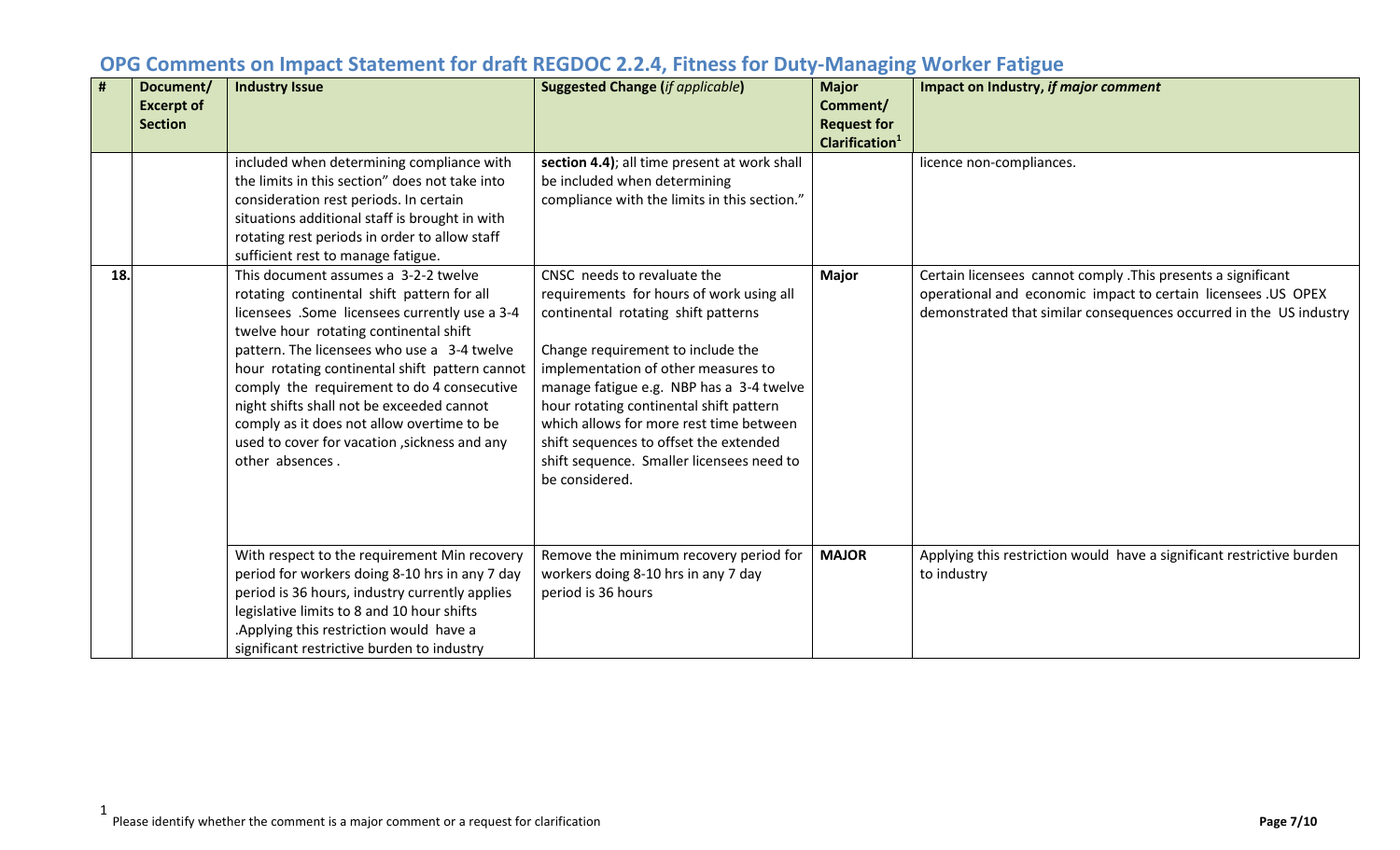| #   | Document/<br><b>Excerpt of</b><br><b>Section</b> | <b>Industry Issue</b>                                                                                                                                                                                                                                                                                                                                                                                                                                                                       | <b>Suggested Change (if applicable)</b>                                                                                                                                                                                                                                                                                                                                                                                               | <b>Major</b><br>Comment/<br><b>Request for</b><br>Clarification <sup>1</sup> | Impact on Industry, if major comment                                                                                                                                                                 |
|-----|--------------------------------------------------|---------------------------------------------------------------------------------------------------------------------------------------------------------------------------------------------------------------------------------------------------------------------------------------------------------------------------------------------------------------------------------------------------------------------------------------------------------------------------------------------|---------------------------------------------------------------------------------------------------------------------------------------------------------------------------------------------------------------------------------------------------------------------------------------------------------------------------------------------------------------------------------------------------------------------------------------|------------------------------------------------------------------------------|------------------------------------------------------------------------------------------------------------------------------------------------------------------------------------------------------|
|     |                                                  | included when determining compliance with<br>the limits in this section" does not take into<br>consideration rest periods. In certain<br>situations additional staff is brought in with<br>rotating rest periods in order to allow staff<br>sufficient rest to manage fatigue.                                                                                                                                                                                                              | section 4.4); all time present at work shall<br>be included when determining<br>compliance with the limits in this section."                                                                                                                                                                                                                                                                                                          |                                                                              | licence non-compliances.                                                                                                                                                                             |
| 18. |                                                  | This document assumes a 3-2-2 twelve<br>rotating continental shift pattern for all<br>licensees .Some licensees currently use a 3-4<br>twelve hour rotating continental shift<br>pattern. The licensees who use a 3-4 twelve<br>hour rotating continental shift pattern cannot<br>comply the requirement to do 4 consecutive<br>night shifts shall not be exceeded cannot<br>comply as it does not allow overtime to be<br>used to cover for vacation , sickness and any<br>other absences. | CNSC needs to revaluate the<br>requirements for hours of work using all<br>continental rotating shift patterns<br>Change requirement to include the<br>implementation of other measures to<br>manage fatigue e.g. NBP has a 3-4 twelve<br>hour rotating continental shift pattern<br>which allows for more rest time between<br>shift sequences to offset the extended<br>shift sequence. Smaller licensees need to<br>be considered. | <b>Major</b>                                                                 | Certain licensees cannot comply . This presents a significant<br>operational and economic impact to certain licensees .US OPEX<br>demonstrated that similar consequences occurred in the US industry |
|     |                                                  | With respect to the requirement Min recovery<br>period for workers doing 8-10 hrs in any 7 day<br>period is 36 hours, industry currently applies<br>legislative limits to 8 and 10 hour shifts<br>.Applying this restriction would have a<br>significant restrictive burden to industry                                                                                                                                                                                                     | Remove the minimum recovery period for<br>workers doing 8-10 hrs in any 7 day<br>period is 36 hours                                                                                                                                                                                                                                                                                                                                   | <b>MAJOR</b>                                                                 | Applying this restriction would have a significant restrictive burden<br>to industry                                                                                                                 |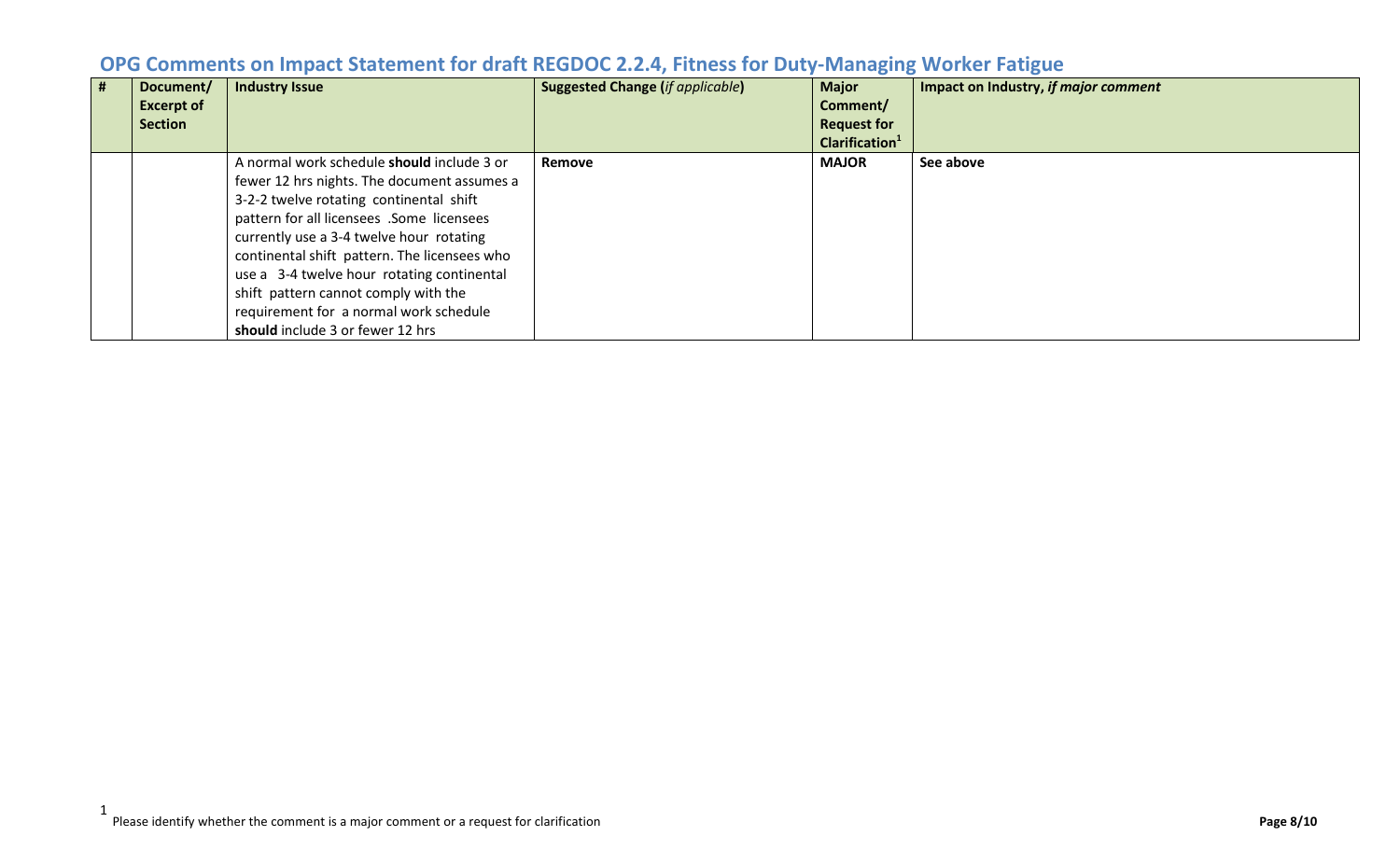| # | Document/<br><b>Excerpt of</b><br><b>Section</b> | <b>Industry Issue</b>                        | <b>Suggested Change (if applicable)</b> | <b>Major</b><br>Comment/<br><b>Request for</b> | Impact on Industry, if major comment |
|---|--------------------------------------------------|----------------------------------------------|-----------------------------------------|------------------------------------------------|--------------------------------------|
|   |                                                  |                                              |                                         | Clarification <sup>1</sup>                     |                                      |
|   |                                                  | A normal work schedule should include 3 or   | <b>Remove</b>                           | <b>MAJOR</b>                                   | See above                            |
|   |                                                  | fewer 12 hrs nights. The document assumes a  |                                         |                                                |                                      |
|   |                                                  | 3-2-2 twelve rotating continental shift      |                                         |                                                |                                      |
|   |                                                  | pattern for all licensees .Some licensees    |                                         |                                                |                                      |
|   |                                                  | currently use a 3-4 twelve hour rotating     |                                         |                                                |                                      |
|   |                                                  | continental shift pattern. The licensees who |                                         |                                                |                                      |
|   |                                                  | use a 3-4 twelve hour rotating continental   |                                         |                                                |                                      |
|   |                                                  | shift pattern cannot comply with the         |                                         |                                                |                                      |
|   |                                                  | requirement for a normal work schedule       |                                         |                                                |                                      |
|   |                                                  | should include 3 or fewer 12 hrs             |                                         |                                                |                                      |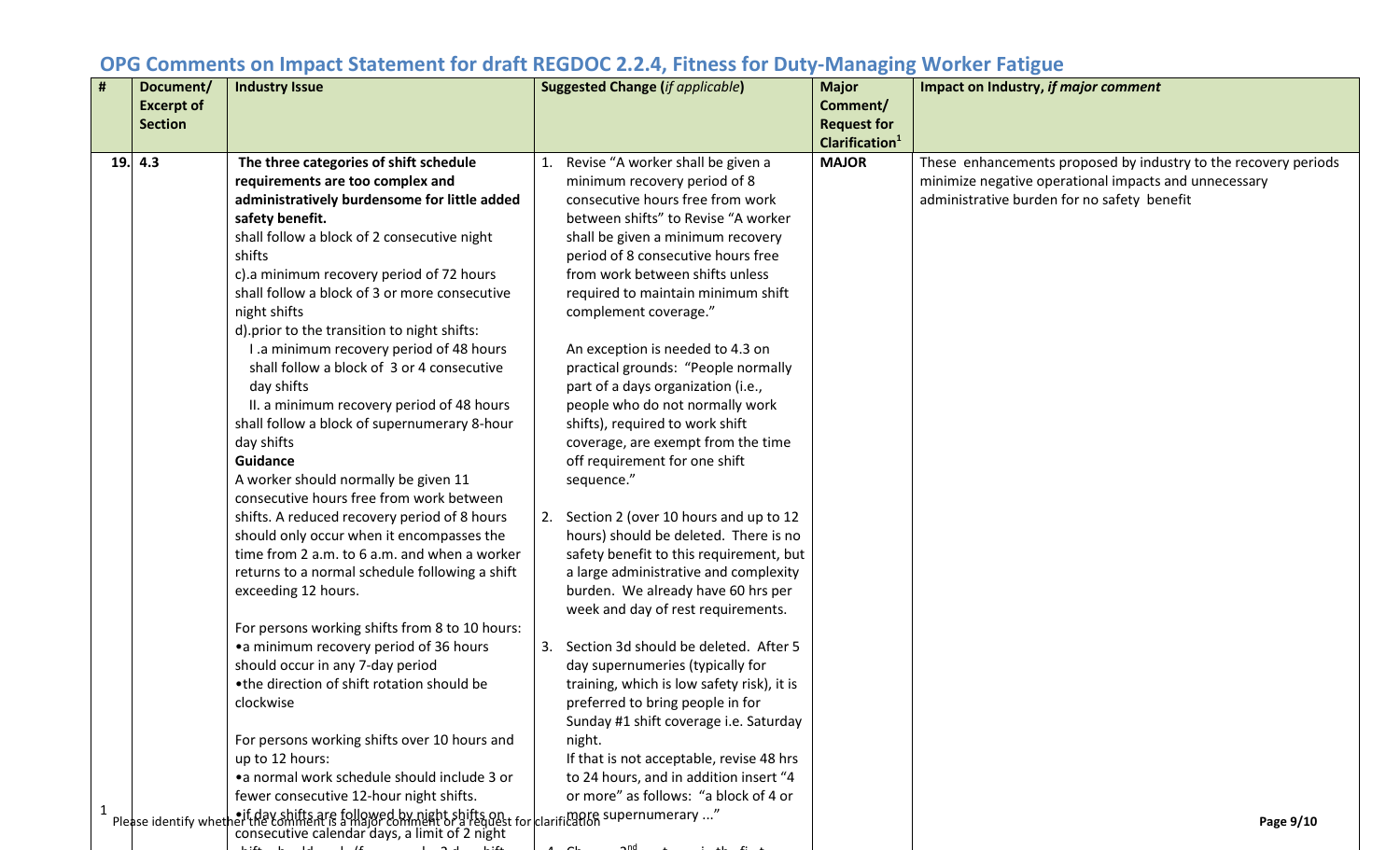| #            | Document/<br><b>Excerpt of</b><br><b>Section</b> | <b>Industry Issue</b>                                                                                                               | <b>Suggested Change (if applicable)</b>                                     | <b>Major</b><br>Comment/<br><b>Request for</b><br>Clarification <sup>1</sup> | Impact on Industry, if major comment                            |
|--------------|--------------------------------------------------|-------------------------------------------------------------------------------------------------------------------------------------|-----------------------------------------------------------------------------|------------------------------------------------------------------------------|-----------------------------------------------------------------|
|              | 19. 4.3                                          | The three categories of shift schedule                                                                                              | Revise "A worker shall be given a                                           | <b>MAJOR</b>                                                                 | These enhancements proposed by industry to the recovery periods |
|              |                                                  | requirements are too complex and                                                                                                    | minimum recovery period of 8                                                |                                                                              | minimize negative operational impacts and unnecessary           |
|              |                                                  | administratively burdensome for little added                                                                                        | consecutive hours free from work                                            |                                                                              | administrative burden for no safety benefit                     |
|              |                                                  | safety benefit.                                                                                                                     | between shifts" to Revise "A worker                                         |                                                                              |                                                                 |
|              |                                                  | shall follow a block of 2 consecutive night                                                                                         | shall be given a minimum recovery                                           |                                                                              |                                                                 |
|              |                                                  | shifts                                                                                                                              | period of 8 consecutive hours free                                          |                                                                              |                                                                 |
|              |                                                  | c).a minimum recovery period of 72 hours                                                                                            | from work between shifts unless                                             |                                                                              |                                                                 |
|              |                                                  | shall follow a block of 3 or more consecutive                                                                                       | required to maintain minimum shift                                          |                                                                              |                                                                 |
|              |                                                  | night shifts                                                                                                                        | complement coverage."                                                       |                                                                              |                                                                 |
|              |                                                  | d).prior to the transition to night shifts:                                                                                         |                                                                             |                                                                              |                                                                 |
|              |                                                  | I .a minimum recovery period of 48 hours                                                                                            | An exception is needed to 4.3 on                                            |                                                                              |                                                                 |
|              |                                                  | shall follow a block of 3 or 4 consecutive                                                                                          | practical grounds: "People normally                                         |                                                                              |                                                                 |
|              |                                                  | day shifts                                                                                                                          | part of a days organization (i.e.,                                          |                                                                              |                                                                 |
|              |                                                  | II. a minimum recovery period of 48 hours                                                                                           | people who do not normally work                                             |                                                                              |                                                                 |
|              |                                                  | shall follow a block of supernumerary 8-hour                                                                                        | shifts), required to work shift                                             |                                                                              |                                                                 |
|              |                                                  | day shifts                                                                                                                          | coverage, are exempt from the time                                          |                                                                              |                                                                 |
|              |                                                  | Guidance                                                                                                                            | off requirement for one shift                                               |                                                                              |                                                                 |
|              |                                                  | A worker should normally be given 11                                                                                                | sequence."                                                                  |                                                                              |                                                                 |
|              |                                                  | consecutive hours free from work between                                                                                            |                                                                             |                                                                              |                                                                 |
|              |                                                  | shifts. A reduced recovery period of 8 hours                                                                                        | 2. Section 2 (over 10 hours and up to 12                                    |                                                                              |                                                                 |
|              |                                                  | should only occur when it encompasses the                                                                                           | hours) should be deleted. There is no                                       |                                                                              |                                                                 |
|              |                                                  | time from 2 a.m. to 6 a.m. and when a worker                                                                                        | safety benefit to this requirement, but                                     |                                                                              |                                                                 |
|              |                                                  | returns to a normal schedule following a shift<br>exceeding 12 hours.                                                               | a large administrative and complexity<br>burden. We already have 60 hrs per |                                                                              |                                                                 |
|              |                                                  |                                                                                                                                     | week and day of rest requirements.                                          |                                                                              |                                                                 |
|              |                                                  | For persons working shifts from 8 to 10 hours:                                                                                      |                                                                             |                                                                              |                                                                 |
|              |                                                  | •a minimum recovery period of 36 hours                                                                                              | 3. Section 3d should be deleted. After 5                                    |                                                                              |                                                                 |
|              |                                                  | should occur in any 7-day period                                                                                                    | day supernumeries (typically for                                            |                                                                              |                                                                 |
|              |                                                  | •the direction of shift rotation should be                                                                                          | training, which is low safety risk), it is                                  |                                                                              |                                                                 |
|              |                                                  | clockwise                                                                                                                           | preferred to bring people in for                                            |                                                                              |                                                                 |
|              |                                                  |                                                                                                                                     | Sunday #1 shift coverage i.e. Saturday                                      |                                                                              |                                                                 |
|              |                                                  | For persons working shifts over 10 hours and                                                                                        | night.                                                                      |                                                                              |                                                                 |
|              |                                                  | up to 12 hours:                                                                                                                     | If that is not acceptable, revise 48 hrs                                    |                                                                              |                                                                 |
|              |                                                  | • a normal work schedule should include 3 or                                                                                        | to 24 hours, and in addition insert "4                                      |                                                                              |                                                                 |
|              |                                                  | fewer consecutive 12-hour night shifts.                                                                                             | or more" as follows: "a block of 4 or                                       |                                                                              |                                                                 |
| $\mathbf{1}$ | Please identify whet                             | neif day shifta are followed by night >bifts ook for clarificance supernumerary …"<br>consecutive calendar days, a limit of 2 night |                                                                             |                                                                              | Page 9/10                                                       |

hift h ld l (f l 2 d hift 4 Ch 2nd t i th fi t